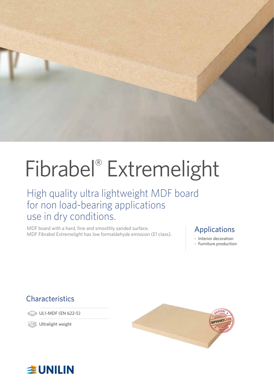

# Fibrabel® Extremelight

### High quality ultra lightweight MDF board for non load-bearing applications use in dry conditions.

MDF board with a hard, fine and smoothly sanded surface. MDF board with a hard, fine and smoothly sanded surface.<br>MDF Fibrabel Extremelight has low formaldehyde emission (E1 class). **Applications** 

- Interior decoration
- Furniture production

### **Characteristics**

UL1-MDF (EN 622-5)

**Solution** Ultralight weight